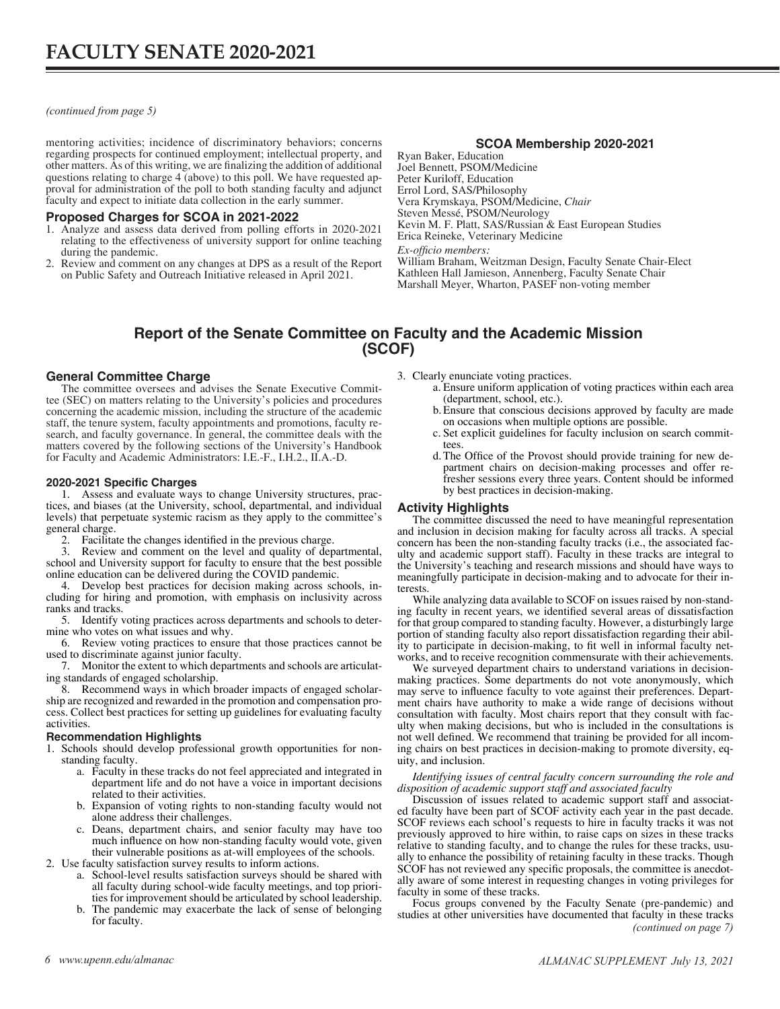<span id="page-0-0"></span>*(continued from page 5)*

mentoring activities; incidence of discriminatory behaviors; concerns regarding prospects for continued employment; intellectual property, and other matters. As of this writing, we are finalizing the addition of additional proval for administration of the poll to both standing faculty and adjunct faculty and expect to initiate data collection in the early summer.

## **Proposed Charges for SCOA in 2021-2022**

- 1. Analyze and assess data derived from polling efforts in 2020-2021 relating to the effectiveness of university support for online teaching during the pandemic.
- 2. Review and comment on any changes at DPS as a result of the Report on Public Safety and Outreach Initiative released in April 2021.

## **SCOA Membership 2020-2021**

Ryan Baker, Education Joel Bennett, PSOM/Medicine Peter Kuriloff, Education Errol Lord, SAS/Philosophy Vera Krymskaya, PSOM/Medicine, *Chair* Steven Messé, PSOM/Neurology Kevin M. F. Platt, SAS/Russian & East European Studies Erica Reineke, Veterinary Medicine *Ex-officio members:*

William Braham, Weitzman Design, Faculty Senate Chair-Elect Kathleen Hall Jamieson, Annenberg, Faculty Senate Chair Marshall Meyer, Wharton, PASEF non-voting member

# **Report of the Senate Committee on Faculty and the Academic Mission (SCOF)**

## **General Committee Charge**

The committee oversees and advises the Senate Executive Committee (SEC) on matters relating to the University's policies and procedures concerning the academic mission, including the structure of the academic staff, the tenure system, faculty appointments and promotions, faculty research, and faculty governance. In general, the committee deals with the matters covered by the following sections of the University's Handbook for Faculty and Academic Administrators: I.E.-F., I.H.2., II.A.-D.

### **2020-2021 Specific Charges**

1. Assess and evaluate ways to change University structures, practices, and biases (at the University, school, departmental, and individual levels) that perpetuate systemic racism as they apply to the committee's general charge.

2. Facilitate the changes identified in the previous charge.<br>3. Review and comment on the level and quality of der

Review and comment on the level and quality of departmental, school and University support for faculty to ensure that the best possible online education can be delivered during the COVID pandemic.

4. Develop best practices for decision making across schools, including for hiring and promotion, with emphasis on inclusivity across ranks and tracks.

5. Identify voting practices across departments and schools to determine who votes on what issues and why.

6. Review voting practices to ensure that those practices cannot be used to discriminate against junior faculty.

7. Monitor the extent to which departments and schools are articulating standards of engaged scholarship.

8. Recommend ways in which broader impacts of engaged scholarship are recognized and rewarded in the promotion and compensation process. Collect best practices for setting up guidelines for evaluating faculty activities.

## **Recommendation Highlights**

1. Schools should develop professional growth opportunities for nonstanding faculty. a. Faculty in these tracks do not feel appreciated and integrated in

- department life and do not have a voice in important decisions related to their activities.
- b. Expansion of voting rights to non-standing faculty would not
- c. Deans, department chairs, and senior faculty may have too much influence on how non-standing faculty would vote, given their vulnerable positions as at-will employees of the schools.<br>2. Use faculty satisfaction survey results to inform actions.

- a. School-level results satisfaction surveys should be shared with all faculty during school-wide faculty meetings, and top priori- ties for improvement should be articulated by school leadership.
- b. The pandemic may exacerbate the lack of sense of belonging for faculty.

3. Clearly enunciate voting practices.

- a. Ensure uniform application of voting practices within each area (department, school, etc.).
- b.Ensure that conscious decisions approved by faculty are made on occasions when multiple options are possible.
- c. Set explicit guidelines for faculty inclusion on search committees.
- d.The Office of the Provost should provide training for new department chairs on decision-making processes and offer refresher sessions every three years. Content should be informed by best practices in decision-making.

## **Activity Highlights**

The committee discussed the need to have meaningful representation and inclusion in decision making for faculty across all tracks. A special concern has been the non-standing faculty tracks (i.e., the associated fac- ulty and academic support staff). Faculty in these tracks are integral to the University's teaching and research missions and should have ways to meaningfully participate in decision-making and to advocate for their in- terests.

While analyzing data available to SCOF on issues raised by non-stand-<br>ing faculty in recent years, we identified several areas of dissatisfaction for that group compared to standing faculty. However, a disturbingly large portion of standing faculty also report dissatisfaction regarding their abil- ity to participate in decision-making, to fit well in informal faculty networks, and to receive recognition commensurate with their achievements.

We surveyed department chairs to understand variations in decisionmaking practices. Some departments do not vote anonymously, which may serve to influence faculty to vote against their preferences. Depart- ment chairs have authority to make a wide range of decisions without consultation with faculty. Most chairs report that they consult with fac- ulty when making decisions, but who is included in the consultations is not well defined. We recommend that training be provided for all incoming chairs on best practices in decision-making to promote diversity, equity, and inclusion.

#### *Identifying issues of central faculty concern surrounding the role and disposition of academic support staff and associated faculty*

Discussion of issues related to academic support staff and associated faculty have been part of SCOF activity each year in the past decade. SCOF reviews each school's requests to hire in faculty tracks it was not previously approved to hire within, to raise caps on sizes in these tracks relative to standing faculty, and to change the rules for these tracks, usually to enhance the possibility of retaining faculty in these tracks. Though SCOF has not reviewed any specific proposals, the committee is anecdotally aware of some interest in requesting changes in voting privileges for faculty in some of these tracks.

Focus groups convened by the Faculty Senate (pre-pandemic) and studies at other universities have documented that faculty in these tracks *[\(continued on page 7\)](#page-1-0)*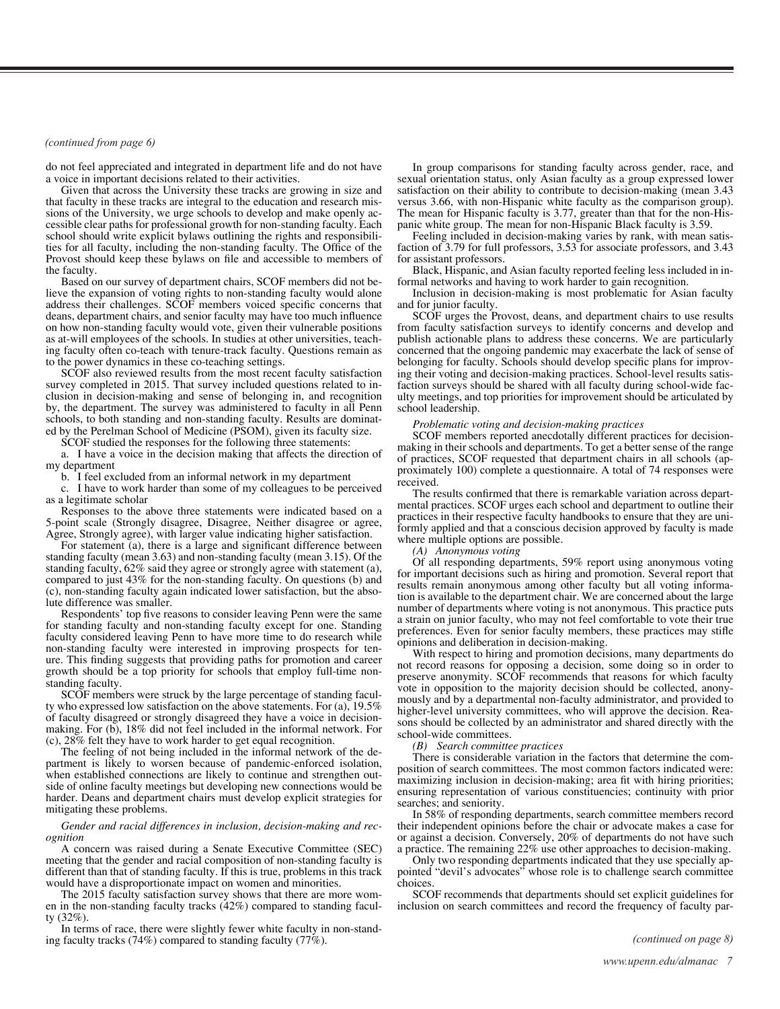#### <span id="page-1-0"></span>*[\(continued from page 6\)](#page-0-0)*

do not feel appreciated and integrated in department life and do not have a voice in important decisions related to their activities.

Given that across the University these tracks are growing in size and that faculty in these tracks are integral to the education and research missions of the University, we urge schools to develop and make openly accessible clear paths for professional growth for non-standing faculty. Each school should write explicit bylaws outlining the rights and responsibilities for all faculty, including the non-standing faculty. The Office of the Provost should keep these bylaws on file and accessible to members of the faculty.

Based on our survey of department chairs, SCOF members did not believe the expansion of voting rights to non-standing faculty would alone address their challenges. SCOF members voiced specific concerns that deans, department chairs, and senior faculty may have too much influence on how non-standing faculty would vote, given their vulnerable positions as at-will employees of the schools. In studies at other universities, teaching faculty often co-teach with tenure-track faculty. Questions remain as to the power dynamics in these co-teaching settings.

SCOF also reviewed results from the most recent faculty satisfaction survey completed in 2015. That survey included questions related to inclusion in decision-making and sense of belonging in, and recognition by, the department. The survey was administered to faculty in all Penn schools, to both standing and non-standing faculty. Results are dominated by the Perelman School of Medicine (PSOM), given its faculty size.

SCOF studied the responses for the following three statements:

a. I have a voice in the decision making that affects the direction of my department

b. I feel excluded from an informal network in my department

c. I have to work harder than some of my colleagues to be perceived as a legitimate scholar

Responses to the above three statements were indicated based on a 5-point scale (Strongly disagree, Disagree, Neither disagree or agree, Agree, Strongly agree), with larger value indicating higher satisfaction.

For statement (a), there is a large and significant difference between standing faculty (mean 3.63) and non-standing faculty (mean 3.15). Of the standing faculty, 62% said they agree or strongly agree with statement (a), compared to just 43% for the non-standing faculty. On questions (b) and (c), non-standing faculty again indicated lower satisfaction, but the absolute difference was smaller.

Respondents' top five reasons to consider leaving Penn were the same for standing faculty and non-standing faculty except for one. Standing faculty considered leaving Penn to have more time to do research while non-standing faculty were interested in improving prospects for tenure. This finding suggests that providing paths for promotion and career growth should be a top priority for schools that employ full-time nonstanding faculty.

SCOF members were struck by the large percentage of standing faculty who expressed low satisfaction on the above statements. For (a), 19.5% of faculty disagreed or strongly disagreed they have a voice in decisionmaking. For (b), 18% did not feel included in the informal network. For (c), 28% felt they have to work harder to get equal recognition.

The feeling of not being included in the informal network of the department is likely to worsen because of pandemic-enforced isolation, when established connections are likely to continue and strengthen outside of online faculty meetings but developing new connections would be harder. Deans and department chairs must develop explicit strategies for mitigating these problems.

#### *Gender and racial differences in inclusion, decision-making and recognition*

A concern was raised during a Senate Executive Committee (SEC) meeting that the gender and racial composition of non-standing faculty is different than that of standing faculty. If this is true, problems in this track would have a disproportionate impact on women and minorities.

The 2015 faculty satisfaction survey shows that there are more women in the non-standing faculty tracks  $(42\%)$  compared to standing faculty  $(32\%)$ .

In terms of race, there were slightly fewer white faculty in non-standing faculty tracks (74%) compared to standing faculty (77%).

In group comparisons for standing faculty across gender, race, and sexual orientation status, only Asian faculty as a group expressed lower satisfaction on their ability to contribute to decision-making (mean 3.43 versus 3.66, with non-Hispanic white faculty as the comparison group). The mean for Hispanic faculty is 3.77, greater than that for the non-Hispanic white group. The mean for non-Hispanic Black faculty is 3.59.

Feeling included in decision-making varies by rank, with mean satisfaction of 3.79 for full professors, 3.53 for associate professors, and 3.43 for assistant professors.

Black, Hispanic, and Asian faculty reported feeling less included in informal networks and having to work harder to gain recognition.

Inclusion in decision-making is most problematic for Asian faculty and for junior faculty.

SCOF urges the Provost, deans, and department chairs to use results from faculty satisfaction surveys to identify concerns and develop and publish actionable plans to address these concerns. We are particularly concerned that the ongoing pandemic may exacerbate the lack of sense of belonging for faculty. Schools should develop specific plans for improving their voting and decision-making practices. School-level results satisfaction surveys should be shared with all faculty during school-wide faculty meetings, and top priorities for improvement should be articulated by school leadership.

#### *Problematic voting and decision-making practices*

SCOF members reported anecdotally different practices for decisionmaking in their schools and departments. To get a better sense of the range of practices, SCOF requested that department chairs in all schools (approximately 100) complete a questionnaire. A total of 74 responses were received.

The results confirmed that there is remarkable variation across departmental practices. SCOF urges each school and department to outline their practices in their respective faculty handbooks to ensure that they are uniformly applied and that a conscious decision approved by faculty is made where multiple options are possible.

*(A) Anonymous voting*

Of all responding departments, 59% report using anonymous voting for important decisions such as hiring and promotion. Several report that results remain anonymous among other faculty but all voting information is available to the department chair. We are concerned about the large number of departments where voting is not anonymous. This practice puts a strain on junior faculty, who may not feel comfortable to vote their true preferences. Even for senior faculty members, these practices may stifle opinions and deliberation in decision-making.

With respect to hiring and promotion decisions, many departments do not record reasons for opposing a decision, some doing so in order to preserve anonymity. SCOF recommends that reasons for which faculty vote in opposition to the majority decision should be collected, anonymously and by a departmental non-faculty administrator, and provided to higher-level university committees, who will approve the decision. Reasons should be collected by an administrator and shared directly with the school-wide committees.

*(B) Search committee practices*

There is considerable variation in the factors that determine the composition of search committees. The most common factors indicated were: maximizing inclusion in decision-making; area fit with hiring priorities; ensuring representation of various constituencies; continuity with prior searches; and seniority.

In 58% of responding departments, search committee members record their independent opinions before the chair or advocate makes a case for or against a decision. Conversely, 20% of departments do not have such a practice. The remaining 22% use other approaches to decision-making.

Only two responding departments indicated that they use specially appointed "devil's advocates" whose role is to challenge search committee choices.

SCOF recommends that departments should set explicit guidelines for inclusion on search committees and record the frequency of faculty par-